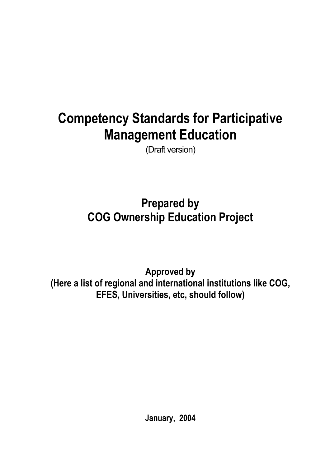# **Competency Standards for Participative Management Education**

(Draft version)

**Prepared by COG Ownership Education Project** 

**Approved by (Here a list of regional and international institutions like COG, EFES, Universities, etc, should follow)** 

**January, 2004**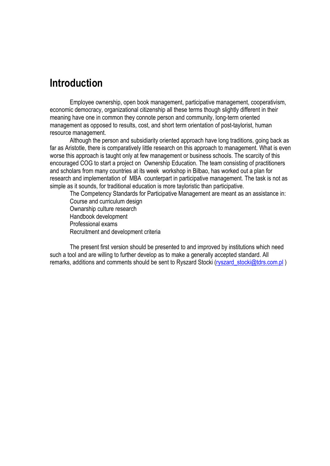### **Introduction**

Employee ownership, open book management, participative management, cooperativism, economic democracy, organizational citizenship all these terms though slightly different in their meaning have one in common they connote person and community, long-term oriented management as opposed to results, cost, and short term orientation of post-taylorist, human resource management.

Although the person and subsidiarity oriented approach have long traditions, going back as far as Aristotle, there is comparatively little research on this approach to management. What is even worse this approach is taught only at few management or business schools. The scarcity of this encouraged COG to start a project on Ownership Education. The team consisting of practitioners and scholars from many countries at its week workshop in Bilbao, has worked out a plan for research and implementation of MBA counterpart in participative management. The task is not as simple as it sounds, for traditional education is more tayloristic than participative.

The Competency Standards for Participative Management are meant as an assistance in: Course and curriculum design Ownarship culture research Handbook development Professional exams Recruitment and development criteria

The present first version should be presented to and improved by institutions which need such a tool and are willing to further develop as to make a generally accepted standard. All remarks, additions and comments should be sent to Ryszard Stocki (ryszard stocki@tdrs.com.pl )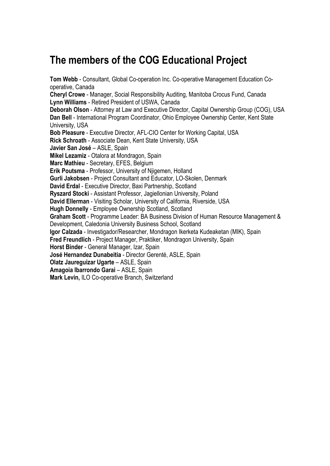## **The members of the COG Educational Project**

**Tom Webb** - Consultant, Global Co-operation Inc. Co-operative Management Education Cooperative, Canada

**Cheryl Crowe** - Manager, Social Responsibility Auditing, Manitoba Crocus Fund, Canada **Lynn Williams** - Retired President of USWA, Canada

**Deborah Olson** - Attorney at Law and Executive Director, Capital Ownership Group (COG), USA **Dan Bell** - International Program Coordinator, Ohio Employee Ownership Center, Kent State University, USA

**Bob Pleasure** - Executive Director, AFL-CIO Center for Working Capital, USA

**Rick Schroath** - Associate Dean, Kent State University, USA

**Javier San José** – ASLE, Spain

**Mikel Lezamiz** - Otalora at Mondragon, Spain

**Marc Mathieu** - Secretary, EFES, Belgium

**Erik Poutsma** - Professor, University of Njigemen, Holland

**Gurli Jakobsen** - Project Consultant and Educator, LO-Skolen, Denmark

**David Erdal** - Executive Director, Baxi Partnership, Scotland

**Ryszard Stocki** - Assistant Professor, Jagiellonian University, Poland

**David Ellerman** - Visiting Scholar, University of California, Riverside, USA

**Hugh Donnelly** - Employee Ownership Scotland, Scotland

**Graham Scott** - Programme Leader: BA Business Division of Human Resource Management &

Development, Caledonia University Business School, Scotland

**Igor Calzada** - Investigador/Researcher, Mondragon Ikerketa Kudeaketan (MIK), Spain

**Fred Freundlich** - Project Manager, Praktiker, Mondragon University, Spain

**Horst Binder** - General Manager, Izar, Spain

**José Hernandez Dunabeitia** - Director Gerenté, ASLE, Spain

**Olatz Jaureguizar Ugarte** – ASLE, Spain

**Amagoia Ibarrondo Garai** – ASLE, Spain

**Mark Levin,** ILO Co-operative Branch, Switzerland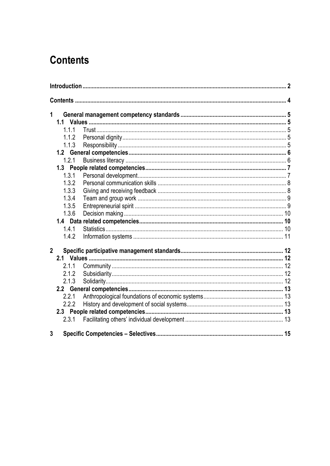## **Contents**

| $\mathbf{1}$   |       |  |  |
|----------------|-------|--|--|
|                | 1.1.1 |  |  |
|                | 1.1.2 |  |  |
|                | 1.1.3 |  |  |
|                |       |  |  |
|                | 1.2.1 |  |  |
|                |       |  |  |
|                | 1.3.1 |  |  |
|                | 1.3.2 |  |  |
|                | 1.3.3 |  |  |
|                | 1.3.4 |  |  |
|                | 1.3.5 |  |  |
|                | 1.3.6 |  |  |
|                |       |  |  |
|                | 1.4.1 |  |  |
|                | 1.4.2 |  |  |
| $\overline{2}$ |       |  |  |
|                |       |  |  |
|                | 2.1.1 |  |  |
|                | 2.1.2 |  |  |
|                | 2.1.3 |  |  |
|                |       |  |  |
|                | 2.2.1 |  |  |
|                | 2.2.2 |  |  |
|                |       |  |  |
|                | 2.3.1 |  |  |
|                |       |  |  |
| 3              |       |  |  |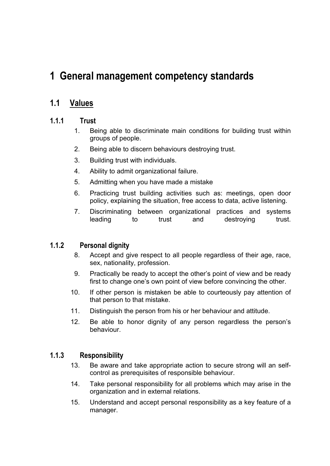## **1 General management competency standards**

### **1.1 Values**

#### **1.1.1 Trust**

- 1. Being able to discriminate main conditions for building trust within groups of people.
- 2. Being able to discern behaviours destroying trust.
- 3. Building trust with individuals.
- 4. Ability to admit organizational failure.
- 5. Admitting when you have made a mistake
- 6. Practicing trust building activities such as: meetings, open door policy, explaining the situation, free access to data, active listening.
- 7. Discriminating between organizational practices and systems leading to trust and destroying trust.

#### **1.1.2 Personal dignity**

- 8. Accept and give respect to all people regardless of their age, race, sex, nationality, profession.
- 9. Practically be ready to accept the other's point of view and be ready first to change one's own point of view before convincing the other.
- 10. If other person is mistaken be able to courteously pay attention of that person to that mistake.
- 11. Distinguish the person from his or her behaviour and attitude.
- 12. Be able to honor dignity of any person regardless the person's behaviour.

#### **1.1.3 Responsibility**

- 13. Be aware and take appropriate action to secure strong will an selfcontrol as prerequisites of responsible behaviour.
- 14. Take personal responsibility for all problems which may arise in the organization and in external relations.
- 15. Understand and accept personal responsibility as a key feature of a manager.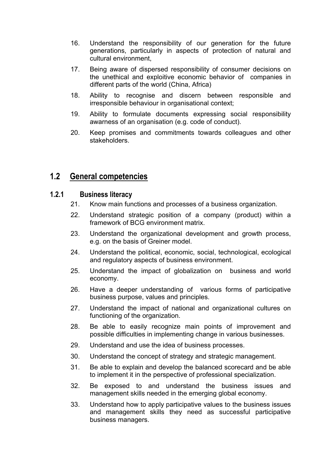- 16. Understand the responsibility of our generation for the future generations, particularly in aspects of protection of natural and cultural environment,
- 17. Being aware of dispersed responsibility of consumer decisions on the unethical and exploitive economic behavior of companies in different parts of the world (China, Africa)
- 18. Ability to recognise and discern between responsible and irresponsible behaviour in organisational context;
- 19. Ability to formulate documents expressing social responsibility awarness of an organisation (e.g. code of conduct).
- 20. Keep promises and commitments towards colleagues and other stakeholders.

#### **1.2 General competencies**

#### **1.2.1 Business literacy**

- 21. Know main functions and processes of a business organization.
- 22. Understand strategic position of a company (product) within a framework of BCG environment matrix.
- 23. Understand the organizational development and growth process, e.g. on the basis of Greiner model.
- 24. Understand the political, economic, social, technological, ecological and regulatory aspects of business environment.
- 25. Understand the impact of globalization on business and world economy.
- 26. Have a deeper understanding of various forms of participative business purpose, values and principles.
- 27. Understand the impact of national and organizational cultures on functioning of the organization.
- 28. Be able to easily recognize main points of improvement and possible difficulties in implementing change in various businesses.
- 29. Understand and use the idea of business processes.
- 30. Understand the concept of strategy and strategic management.
- 31. Be able to explain and develop the balanced scorecard and be able to implement it in the perspective of professional specialization.
- 32. Be exposed to and understand the business issues and management skills needed in the emerging global economy.
- 33. Understand how to apply participative values to the business issues and management skills they need as successful participative business managers.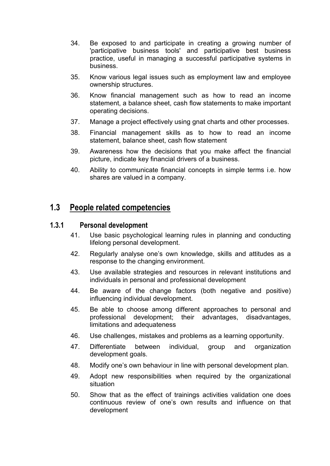- 34. Be exposed to and participate in creating a growing number of 'participative business tools' and participative best business practice, useful in managing a successful participative systems in business.
- 35. Know various legal issues such as employment law and employee ownership structures.
- 36. Know financial management such as how to read an income statement, a balance sheet, cash flow statements to make important operating decisions.
- 37. Manage a project effectively using gnat charts and other processes.
- 38. Financial management skills as to how to read an income statement, balance sheet, cash flow statement
- 39. Awareness how the decisions that you make affect the financial picture, indicate key financial drivers of a business.
- 40. Ability to communicate financial concepts in simple terms i.e. how shares are valued in a company.

#### **1.3 People related competencies**

#### **1.3.1 Personal development**

- 41. Use basic psychological learning rules in planning and conducting lifelong personal development.
- 42. Regularly analyse one's own knowledge, skills and attitudes as a response to the changing environment.
- 43. Use available strategies and resources in relevant institutions and individuals in personal and professional development
- 44. Be aware of the change factors (both negative and positive) influencing individual development.
- 45. Be able to choose among different approaches to personal and professional development; their advantages, disadvantages, limitations and adequateness
- 46. Use challenges, mistakes and problems as a learning opportunity.
- 47. Differentiate between individual, group and organization development goals.
- 48. Modify one's own behaviour in line with personal development plan.
- 49. Adopt new responsibilities when required by the organizational situation
- 50. Show that as the effect of trainings activities validation one does continuous review of one's own results and influence on that development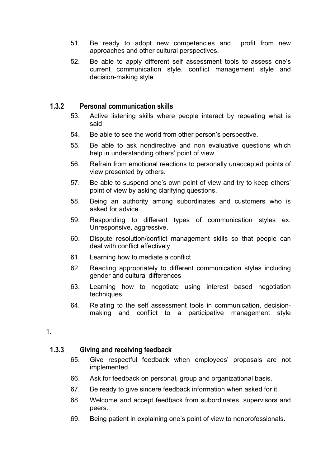- 51. Be ready to adopt new competencies and profit from new approaches and other cultural perspectives.
- 52. Be able to apply different self assessment tools to assess one's current communication style, conflict management style and decision-making style

#### **1.3.2 Personal communication skills**

- 53. Active listening skills where people interact by repeating what is said
- 54. Be able to see the world from other person's perspective.
- 55. Be able to ask nondirective and non evaluative questions which help in understanding others' point of view.
- 56. Refrain from emotional reactions to personally unaccepted points of view presented by others.
- 57. Be able to suspend one's own point of view and try to keep others' point of view by asking clarifying questions.
- 58. Being an authority among subordinates and customers who is asked for advice.
- 59. Responding to different types of communication styles ex. Unresponsive, aggressive,
- 60. Dispute resolution/conflict management skills so that people can deal with conflict effectively
- 61. Learning how to mediate a conflict
- 62. Reacting appropriately to different communication styles including gender and cultural differences
- 63. Learning how to negotiate using interest based negotiation techniques
- 64. Relating to the self assessment tools in communication, decisionmaking and conflict to a participative management style

#### 1.

#### **1.3.3 Giving and receiving feedback**

- 65. Give respectful feedback when employees' proposals are not implemented.
- 66. Ask for feedback on personal, group and organizational basis.
- 67. Be ready to give sincere feedback information when asked for it.
- 68. Welcome and accept feedback from subordinates, supervisors and peers.
- 69. Being patient in explaining one's point of view to nonprofessionals.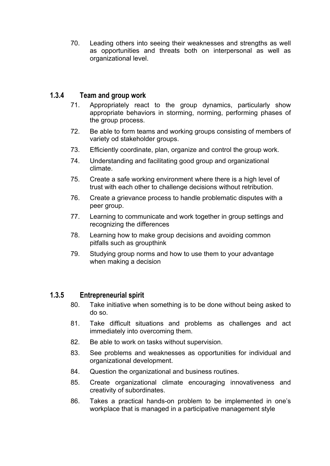70. Leading others into seeing their weaknesses and strengths as well as opportunities and threats both on interpersonal as well as organizational level.

#### **1.3.4 Team and group work**

- 71. Appropriately react to the group dynamics, particularly show appropriate behaviors in storming, norming, performing phases of the group process.
- 72. Be able to form teams and working groups consisting of members of variety od stakeholder groups.
- 73. Efficiently coordinate, plan, organize and control the group work.
- 74. Understanding and facilitating good group and organizational climate.
- 75. Create a safe working environment where there is a high level of trust with each other to challenge decisions without retribution.
- 76. Create a grievance process to handle problematic disputes with a peer group.
- 77. Learning to communicate and work together in group settings and recognizing the differences
- 78. Learning how to make group decisions and avoiding common pitfalls such as groupthink
- 79. Studying group norms and how to use them to your advantage when making a decision

#### **1.3.5 Entrepreneurial spirit**

- 80. Take initiative when something is to be done without being asked to do so.
- 81. Take difficult situations and problems as challenges and act immediately into overcoming them.
- 82. Be able to work on tasks without supervision.
- 83. See problems and weaknesses as opportunities for individual and organizational development.
- 84. Question the organizational and business routines.
- 85. Create organizational climate encouraging innovativeness and creativity of subordinates.
- 86. Takes a practical hands-on problem to be implemented in one's workplace that is managed in a participative management style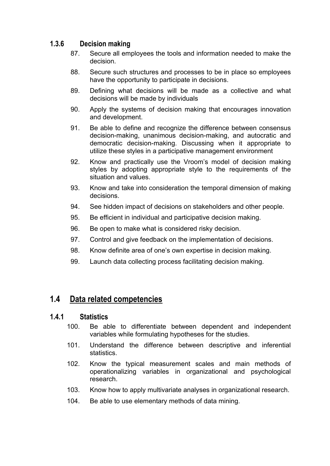#### **1.3.6 Decision making**

- 87. Secure all employees the tools and information needed to make the decision.
- 88. Secure such structures and processes to be in place so employees have the opportunity to participate in decisions.
- 89. Defining what decisions will be made as a collective and what decisions will be made by individuals
- 90. Apply the systems of decision making that encourages innovation and development.
- 91. Be able to define and recognize the difference between consensus decision-making, unanimous decision-making, and autocratic and democratic decision-making. Discussing when it appropriate to utilize these styles in a participative management environment
- 92. Know and practically use the Vroom's model of decision making styles by adopting appropriate style to the requirements of the situation and values.
- 93. Know and take into consideration the temporal dimension of making decisions.
- 94. See hidden impact of decisions on stakeholders and other people.
- 95. Be efficient in individual and participative decision making.
- 96. Be open to make what is considered risky decision.
- 97. Control and give feedback on the implementation of decisions.
- 98. Know definite area of one's own expertise in decision making.
- 99. Launch data collecting process facilitating decision making.

### **1.4 Data related competencies**

#### **1.4.1 Statistics**

- 100. Be able to differentiate between dependent and independent variables while formulating hypotheses for the studies.
- 101. Understand the difference between descriptive and inferential statistics.
- 102. Know the typical measurement scales and main methods of operationalizing variables in organizational and psychological research.
- 103. Know how to apply multivariate analyses in organizational research.
- 104. Be able to use elementary methods of data mining.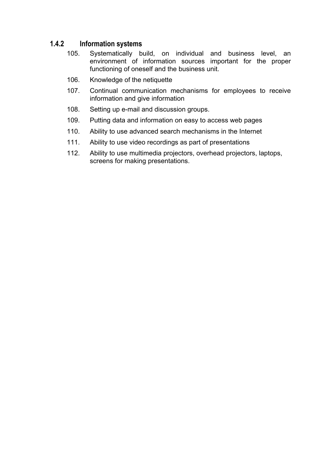#### **1.4.2 Information systems**

- 105. Systematically build, on individual and business level, an environment of information sources important for the proper functioning of oneself and the business unit.
- 106. Knowledge of the netiquette
- 107. Continual communication mechanisms for employees to receive information and give information
- 108. Setting up e-mail and discussion groups.
- 109. Putting data and information on easy to access web pages
- 110. Ability to use advanced search mechanisms in the Internet
- 111. Ability to use video recordings as part of presentations
- 112. Ability to use multimedia projectors, overhead projectors, laptops, screens for making presentations.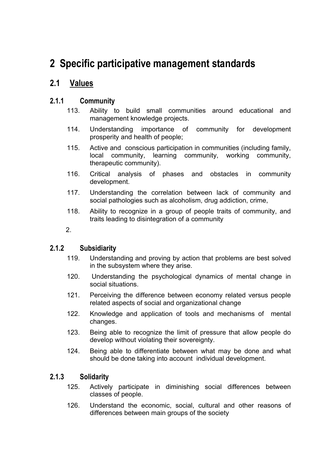## **2 Specific participative management standards**

### **2.1 Values**

#### **2.1.1 Community**

- 113. Ability to build small communities around educational and management knowledge projects.
- 114. Understanding importance of community for development prosperity and health of people;
- 115. Active and conscious participation in communities (including family, local community, learning community, working community, therapeutic community).
- 116. Critical analysis of phases and obstacles in community development.
- 117. Understanding the correlation between lack of community and social pathologies such as alcoholism, drug addiction, crime,
- 118. Ability to recognize in a group of people traits of community, and traits leading to disintegration of a community
- 2.

#### **2.1.2 Subsidiarity**

- 119. Understanding and proving by action that problems are best solved in the subsystem where they arise.
- 120. Understanding the psychological dynamics of mental change in social situations.
- 121. Perceiving the difference between economy related versus people related aspects of social and organizational change
- 122. Knowledge and application of tools and mechanisms of mental changes.
- 123. Being able to recognize the limit of pressure that allow people do develop without violating their sovereignty.
- 124. Being able to differentiate between what may be done and what should be done taking into account individual development.

#### **2.1.3 Solidarity**

- 125. Actively participate in diminishing social differences between classes of people.
- 126. Understand the economic, social, cultural and other reasons of differences between main groups of the society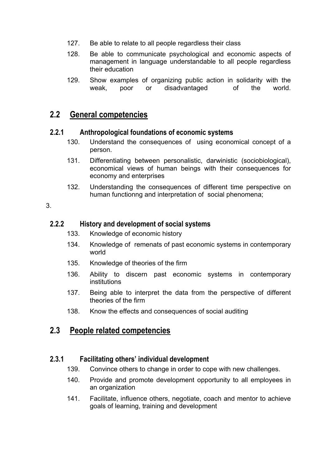- 127. Be able to relate to all people regardless their class
- 128. Be able to communicate psychological and economic aspects of management in language understandable to all people regardless their education
- 129. Show examples of organizing public action in solidarity with the weak, poor or disadvantaged of the world.

### **2.2 General competencies**

#### **2.2.1 Anthropological foundations of economic systems**

- 130. Understand the consequences of using economical concept of a person.
- 131. Differentiating between personalistic, darwinistic (sociobiological), economical views of human beings with their consequences for economy and enterprises
- 132. Understanding the consequences of different time perspective on human functionng and interpretation of social phenomena;

3.

#### **2.2.2 History and development of social systems**

- 133. Knowledge of economic history
- 134. Knowledge of remenats of past economic systems in contemporary world
- 135. Knowledge of theories of the firm
- 136. Ability to discern past economic systems in contemporary institutions
- 137. Being able to interpret the data from the perspective of different theories of the firm
- 138. Know the effects and consequences of social auditing

#### **2.3 People related competencies**

#### **2.3.1 Facilitating others' individual development**

- 139. Convince others to change in order to cope with new challenges.
- 140. Provide and promote development opportunity to all employees in an organization
- 141. Facilitate, influence others, negotiate, coach and mentor to achieve goals of learning, training and development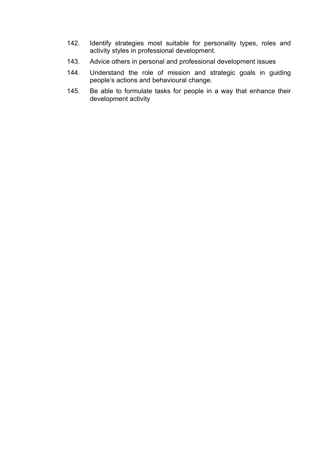- 142. Identify strategies most suitable for personality types, roles and activity styles in professional development.
- 143. Advice others in personal and professional development issues
- 144. Understand the role of mission and strategic goals in guiding people's actions and behavioural change.
- 145. Be able to formulate tasks for people in a way that enhance their development activity